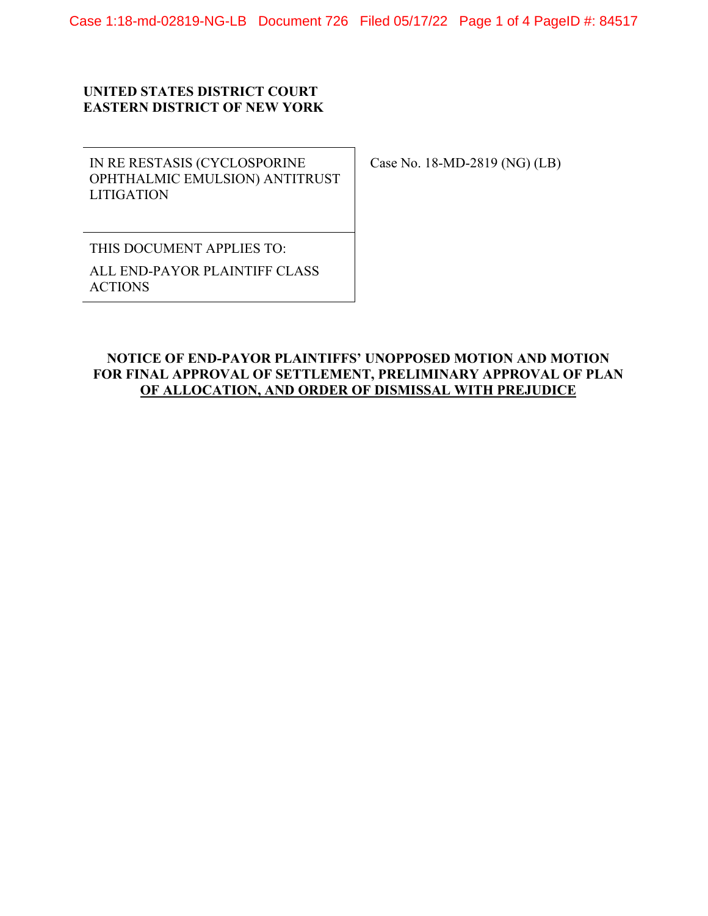## **UNITED STATES DISTRICT COURT EASTERN DISTRICT OF NEW YORK**

IN RE RESTASIS (CYCLOSPORINE OPHTHALMIC EMULSION) ANTITRUST LITIGATION

Case No. 18-MD-2819 (NG) (LB)

THIS DOCUMENT APPLIES TO: ALL END-PAYOR PLAINTIFF CLASS ACTIONS

## **NOTICE OF END-PAYOR PLAINTIFFS' UNOPPOSED MOTION AND MOTION FOR FINAL APPROVAL OF SETTLEMENT, PRELIMINARY APPROVAL OF PLAN OF ALLOCATION, AND ORDER OF DISMISSAL WITH PREJUDICE**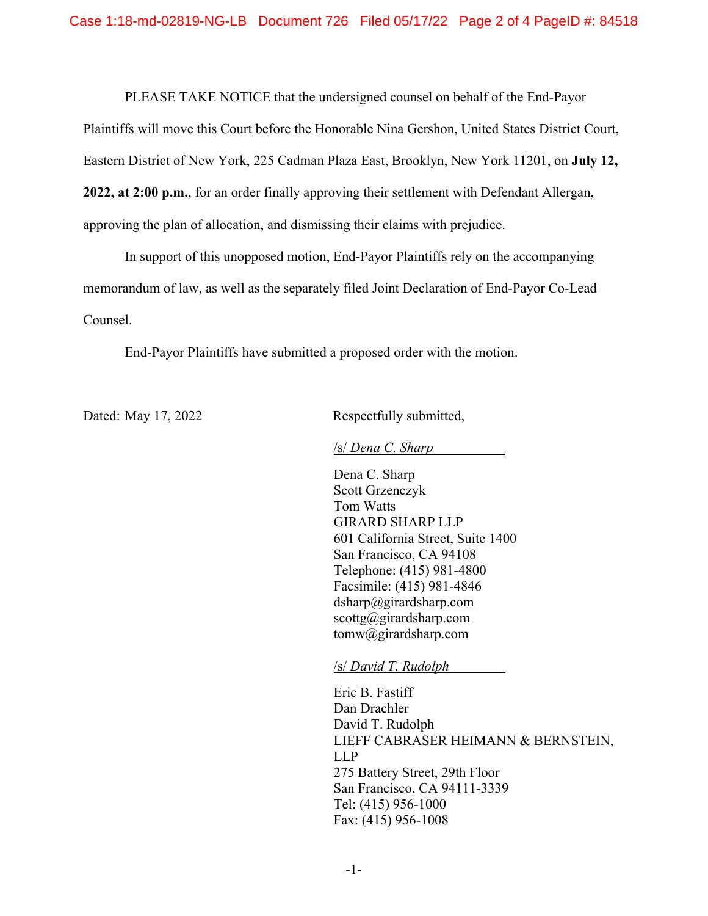PLEASE TAKE NOTICE that the undersigned counsel on behalf of the End-Payor

Plaintiffs will move this Court before the Honorable Nina Gershon, United States District Court,

Eastern District of New York, 225 Cadman Plaza East, Brooklyn, New York 11201, on **July 12,** 

**2022, at 2:00 p.m.**, for an order finally approving their settlement with Defendant Allergan,

approving the plan of allocation, and dismissing their claims with prejudice.

In support of this unopposed motion, End-Payor Plaintiffs rely on the accompanying memorandum of law, as well as the separately filed Joint Declaration of End-Payor Co-Lead Counsel.

End-Payor Plaintiffs have submitted a proposed order with the motion.

Dated: May 17, 2022 Respectfully submitted,

/s/ *Dena C. Sharp* 

Dena C. Sharp Scott Grzenczyk Tom Watts GIRARD SHARP LLP 601 California Street, Suite 1400 San Francisco, CA 94108 Telephone: (415) 981-4800 Facsimile: (415) 981-4846 dsharp@girardsharp.com  $scott{g}$ @girardsharp.com tomw@girardsharp.com

/s/ *David T. Rudolph* 

Eric B. Fastiff Dan Drachler David T. Rudolph LIEFF CABRASER HEIMANN & BERNSTEIN, LLP 275 Battery Street, 29th Floor San Francisco, CA 94111-3339 Tel: (415) 956-1000 Fax: (415) 956-1008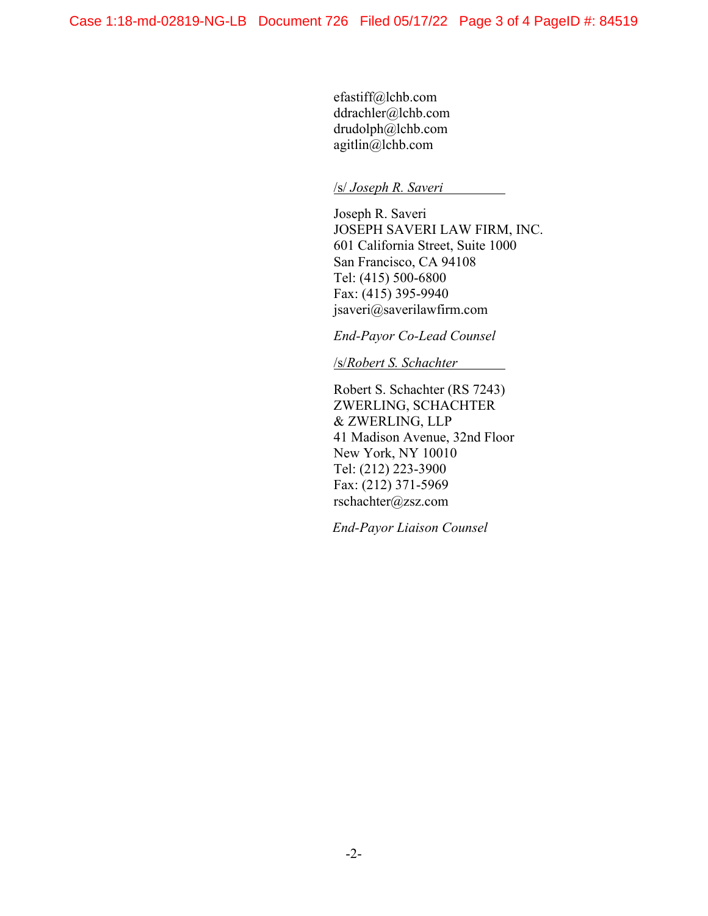efastiff@lchb.com ddrachler@lchb.com drudolph@lchb.com agitlin@lchb.com

## /s/ *Joseph R. Saveri*

Joseph R. Saveri JOSEPH SAVERI LAW FIRM, INC. 601 California Street, Suite 1000 San Francisco, CA 94108 Tel: (415) 500-6800 Fax: (415) 395-9940 jsaveri@saverilawfirm.com

*End-Payor Co-Lead Counsel* 

/s/*Robert S. Schachter* 

Robert S. Schachter (RS 7243) ZWERLING, SCHACHTER & ZWERLING, LLP 41 Madison Avenue, 32nd Floor New York, NY 10010 Tel: (212) 223-3900 Fax: (212) 371-5969 rschachter@zsz.com

*End-Payor Liaison Counsel*